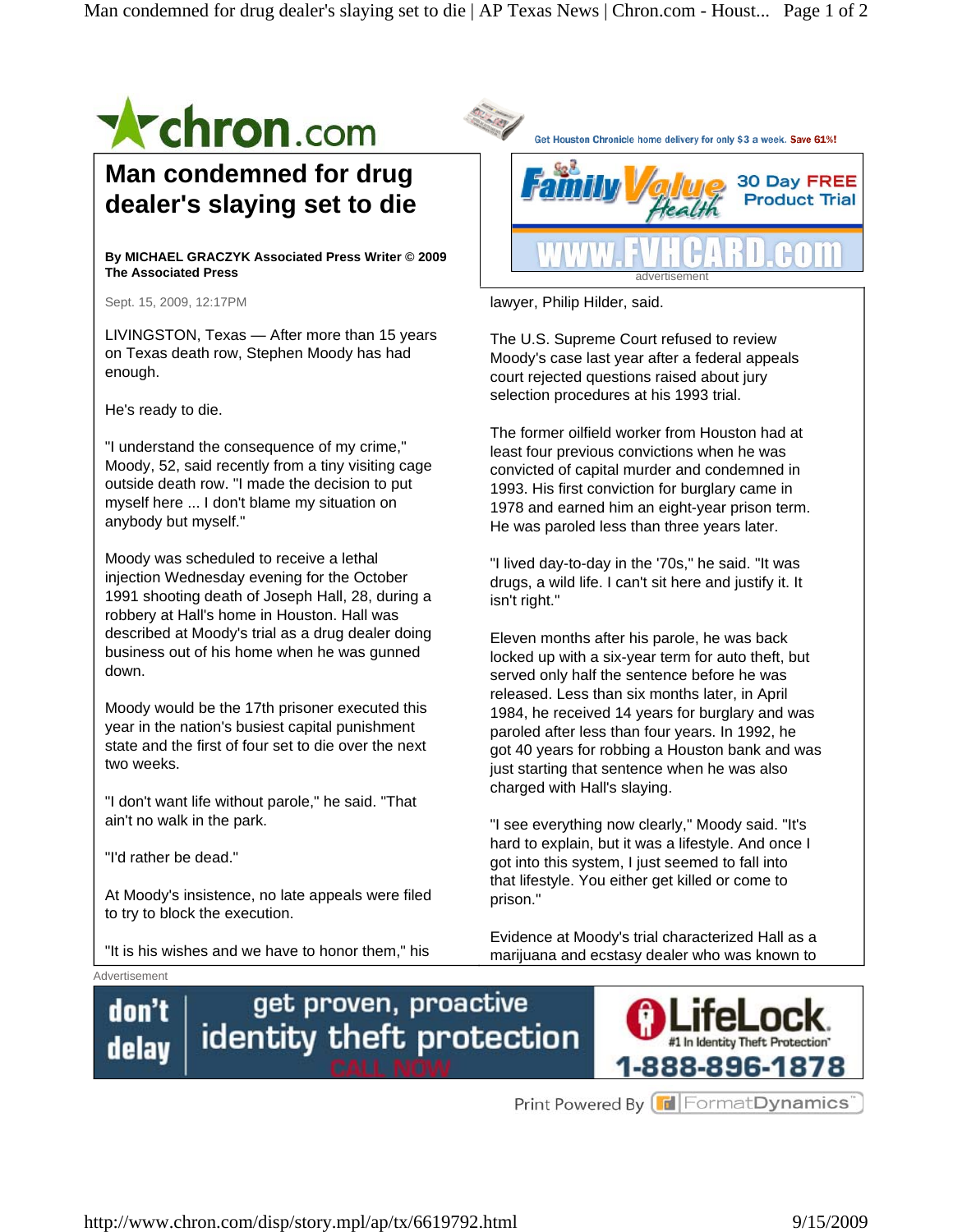

He's ready to die.

"I understand the consequence of my crime," Moody, 52, said recently from a tiny visiting cage outside death row. "I made the decision to put myself here ... I don't blame my situation on anybody but myself."

Moody was scheduled to receive a lethal injection Wednesday evening for the October 1991 shooting death of Joseph Hall, 28, during a robbery at Hall's home in Houston. Hall was described at Moody's trial as a drug dealer doing business out of his home when he was gunned down.

Moody would be the 17th prisoner executed this year in the nation's busiest capital punishment state and the first of four set to die over the next two weeks.

"I don't want life without parole," he said. "That ain't no walk in the park.

"I'd rather be dead."

At Moody's insistence, no late appeals were filed to try to block the execution.

"It is his wishes and we have to honor them," his

1993. His first conviction for burglary came in 1978 and earned him an eight-year prison term. He was paroled less than three years later.

The former oilfield worker from Houston had at least four previous convictions when he was convicted of capital murder and condemned in

selection procedures at his 1993 trial.

"I lived day-to-day in the '70s," he said. "It was drugs, a wild life. I can't sit here and justify it. It isn't right."

Eleven months after his parole, he was back locked up with a six-year term for auto theft, but served only half the sentence before he was released. Less than six months later, in April 1984, he received 14 years for burglary and was paroled after less than four years. In 1992, he got 40 years for robbing a Houston bank and was just starting that sentence when he was also charged with Hall's slaying.

"I see everything now clearly," Moody said. "It's hard to explain, but it was a lifestyle. And once I got into this system, I just seemed to fall into that lifestyle. You either get killed or come to prison."

Evidence at Moody's trial characterized Hall as a marijuana and ecstasy dealer who was known to